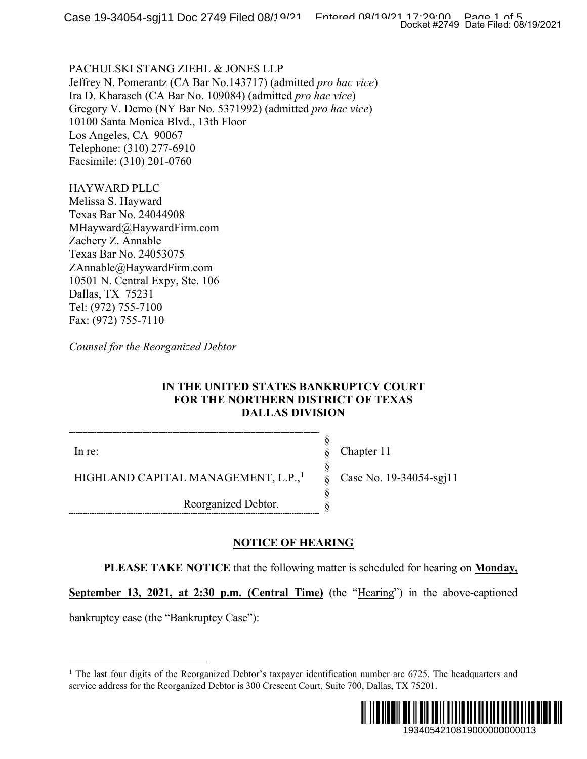PACHULSKI STANG ZIEHL & JONES LLP Jeffrey N. Pomerantz (CA Bar No.143717) (admitted *pro hac vice*) Ira D. Kharasch (CA Bar No. 109084) (admitted *pro hac vice*) Gregory V. Demo (NY Bar No. 5371992) (admitted *pro hac vice*) 10100 Santa Monica Blvd., 13th Floor Los Angeles, CA 90067 Telephone: (310) 277-6910 Facsimile: (310) 201-0760

HAYWARD PLLC Melissa S. Hayward Texas Bar No. 24044908 MHayward@HaywardFirm.com Zachery Z. Annable Texas Bar No. 24053075 ZAnnable@HaywardFirm.com 10501 N. Central Expy, Ste. 106 Dallas, TX 75231 Tel: (972) 755-7100 Fax: (972) 755-7110

*Counsel for the Reorganized Debtor*

### **IN THE UNITED STATES BANKRUPTCY COURT FOR THE NORTHERN DISTRICT OF TEXAS DALLAS DIVISION**

In re:

Chapter 11

Case No. 19-34054-sgj11

HIGHLAND CAPITAL MANAGEMENT, L.P.,<sup>[1](#page-0-0)</sup>

Reorganized Debtor.

## **NOTICE OF HEARING**

**PLEASE TAKE NOTICE** that the following matter is scheduled for hearing on **Monday,** 

§ § § § § §

**September 13, 2021, at 2:30 p.m. (Central Time)** (the "Hearing") in the above-captioned

<span id="page-0-0"></span>bankruptcy case (the "Bankruptcy Case"):

<sup>&</sup>lt;sup>1</sup> The last four digits of the Reorganized Debtor's taxpayer identification number are  $6725$ . The headquarters and service address for the Reorganized Debtor is 300 Crescent Court, Suite 700, Dallas, TX 75201.

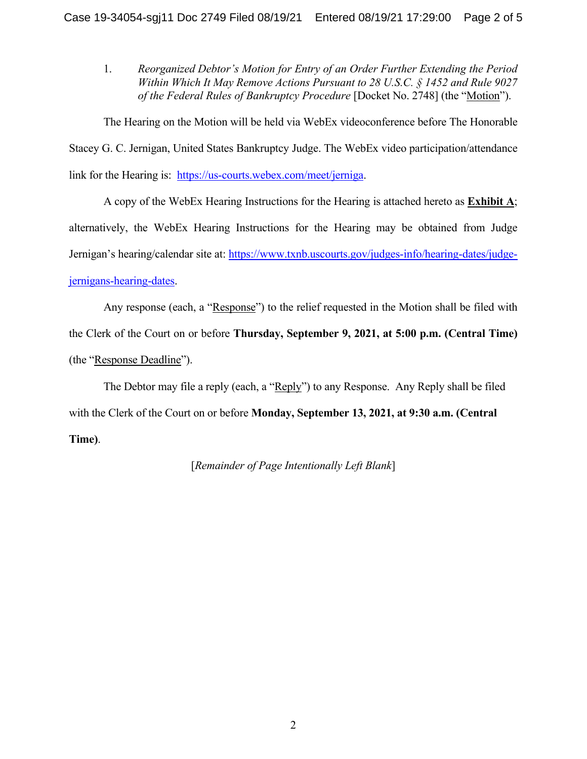1. *Reorganized Debtor's Motion for Entry of an Order Further Extending the Period Within Which It May Remove Actions Pursuant to 28 U.S.C. § 1452 and Rule 9027 of the Federal Rules of Bankruptcy Procedure* [Docket No. 2748] (the "Motion").

The Hearing on the Motion will be held via WebEx videoconference before The Honorable Stacey G. C. Jernigan, United States Bankruptcy Judge. The WebEx video participation/attendance link for the Hearing is: [https://us-courts.webex.com/meet/jerniga.](https://us-courts.webex.com/meet/jerniga)

A copy of the WebEx Hearing Instructions for the Hearing is attached hereto as **Exhibit A**; alternatively, the WebEx Hearing Instructions for the Hearing may be obtained from Judge Jernigan's hearing/calendar site at: [https://www.txnb.uscourts.gov/judges-info/hearing-dates/judge](https://www.txnb.uscourts.gov/judges-info/hearing-dates/judge-jernigans-hearing-dates)[jernigans-hearing-dates.](https://www.txnb.uscourts.gov/judges-info/hearing-dates/judge-jernigans-hearing-dates)

Any response (each, a "Response") to the relief requested in the Motion shall be filed with the Clerk of the Court on or before **Thursday, September 9, 2021, at 5:00 p.m. (Central Time)** (the "Response Deadline").

The Debtor may file a reply (each, a "Reply") to any Response. Any Reply shall be filed with the Clerk of the Court on or before **Monday, September 13, 2021, at 9:30 a.m. (Central Time)**.

[*Remainder of Page Intentionally Left Blank*]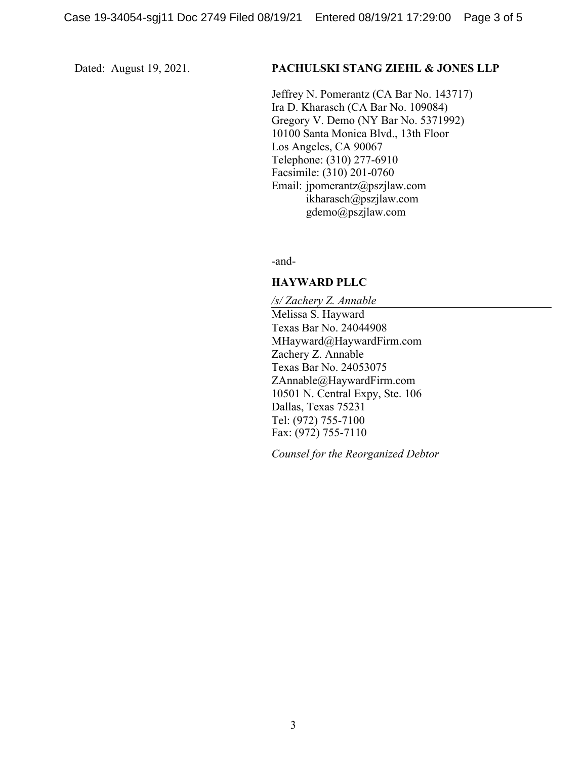#### Dated: August 19, 2021. **PACHULSKI STANG ZIEHL & JONES LLP**

Jeffrey N. Pomerantz (CA Bar No. 143717) Ira D. Kharasch (CA Bar No. 109084) Gregory V. Demo (NY Bar No. 5371992) 10100 Santa Monica Blvd., 13th Floor Los Angeles, CA 90067 Telephone: (310) 277-6910 Facsimile: (310) 201-0760 Email: jpomerantz@pszjlaw.com ikharasch@pszjlaw.com gdemo@pszjlaw.com

-and-

#### **HAYWARD PLLC**

*/s/ Zachery Z. Annable* Melissa S. Hayward Texas Bar No. 24044908 MHayward@HaywardFirm.com Zachery Z. Annable Texas Bar No. 24053075 ZAnnable@HaywardFirm.com 10501 N. Central Expy, Ste. 106 Dallas, Texas 75231 Tel: (972) 755-7100 Fax: (972) 755-7110

*Counsel for the Reorganized Debtor*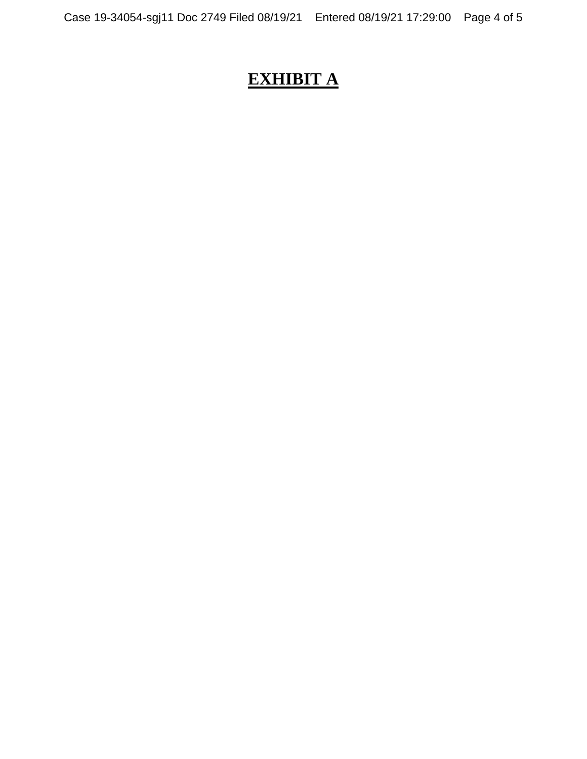# **EXHIBIT A**